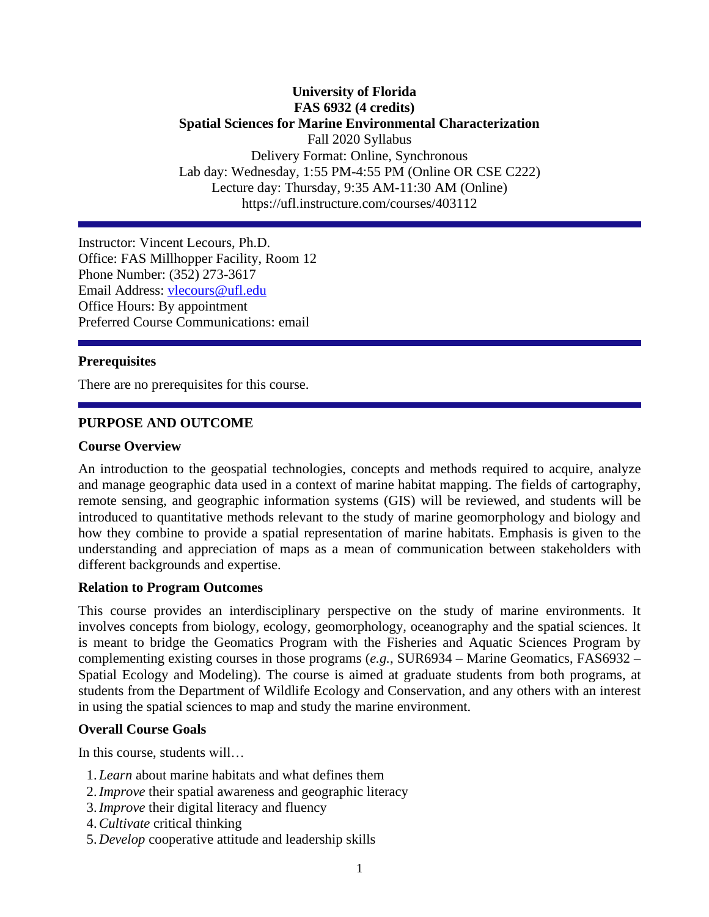# **University of Florida FAS 6932 (4 credits) Spatial Sciences for Marine Environmental Characterization** Fall 2020 Syllabus Delivery Format: Online, Synchronous Lab day: Wednesday, 1:55 PM-4:55 PM (Online OR CSE C222) Lecture day: Thursday, 9:35 AM-11:30 AM (Online) https://ufl.instructure.com/courses/403112

Instructor: Vincent Lecours, Ph.D. Office: FAS Millhopper Facility, Room 12 Phone Number: (352) 273-3617 Email Address: [vlecours@ufl.edu](mailto:vlecours@ufl.edu) Office Hours: By appointment Preferred Course Communications: email

#### **Prerequisites**

There are no prerequisites for this course.

### **PURPOSE AND OUTCOME**

#### **Course Overview**

An introduction to the geospatial technologies, concepts and methods required to acquire, analyze and manage geographic data used in a context of marine habitat mapping. The fields of cartography, remote sensing, and geographic information systems (GIS) will be reviewed, and students will be introduced to quantitative methods relevant to the study of marine geomorphology and biology and how they combine to provide a spatial representation of marine habitats. Emphasis is given to the understanding and appreciation of maps as a mean of communication between stakeholders with different backgrounds and expertise.

#### **Relation to Program Outcomes**

This course provides an interdisciplinary perspective on the study of marine environments. It involves concepts from biology, ecology, geomorphology, oceanography and the spatial sciences. It is meant to bridge the Geomatics Program with the Fisheries and Aquatic Sciences Program by complementing existing courses in those programs (*e.g.*, SUR6934 – Marine Geomatics, FAS6932 – Spatial Ecology and Modeling). The course is aimed at graduate students from both programs, at students from the Department of Wildlife Ecology and Conservation, and any others with an interest in using the spatial sciences to map and study the marine environment.

#### **Overall Course Goals**

In this course, students will…

- 1. *Learn* about marine habitats and what defines them
- 2.*Improve* their spatial awareness and geographic literacy
- 3.*Improve* their digital literacy and fluency
- 4.*Cultivate* critical thinking
- 5. *Develop* cooperative attitude and leadership skills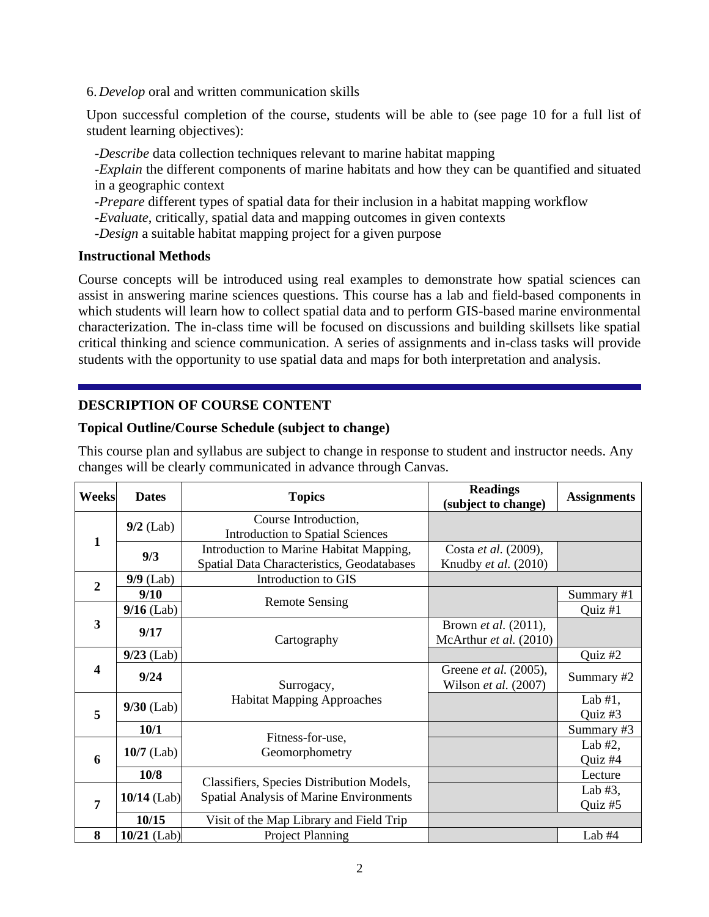6. *Develop* oral and written communication skills

Upon successful completion of the course, students will be able to (see page 10 for a full list of student learning objectives):

-*Describe* data collection techniques relevant to marine habitat mapping

-*Explain* the different components of marine habitats and how they can be quantified and situated in a geographic context

-*Prepare* different types of spatial data for their inclusion in a habitat mapping workflow

-*Evaluate*, critically, spatial data and mapping outcomes in given contexts

-*Design* a suitable habitat mapping project for a given purpose

### **Instructional Methods**

Course concepts will be introduced using real examples to demonstrate how spatial sciences can assist in answering marine sciences questions. This course has a lab and field-based components in which students will learn how to collect spatial data and to perform GIS-based marine environmental characterization. The in-class time will be focused on discussions and building skillsets like spatial critical thinking and science communication. A series of assignments and in-class tasks will provide students with the opportunity to use spatial data and maps for both interpretation and analysis.

# **DESCRIPTION OF COURSE CONTENT**

# **Topical Outline/Course Schedule (subject to change)**

This course plan and syllabus are subject to change in response to student and instructor needs. Any changes will be clearly communicated in advance through Canvas.

| Weeks            | <b>Dates</b>  | <b>Topics</b>                              | <b>Readings</b>              | <b>Assignments</b> |  |  |
|------------------|---------------|--------------------------------------------|------------------------------|--------------------|--|--|
|                  |               |                                            | (subject to change)          |                    |  |  |
|                  | $9/2$ (Lab)   | Course Introduction,                       |                              |                    |  |  |
| 1                |               | <b>Introduction to Spatial Sciences</b>    |                              |                    |  |  |
|                  | 9/3           | Introduction to Marine Habitat Mapping,    | Costa et al. (2009),         |                    |  |  |
|                  |               | Spatial Data Characteristics, Geodatabases | Knudby et al. (2010)         |                    |  |  |
| $\overline{2}$   | $9/9$ (Lab)   | Introduction to GIS                        |                              |                    |  |  |
|                  | 9/10          |                                            |                              | Summary #1         |  |  |
|                  | $9/16$ (Lab)  | <b>Remote Sensing</b>                      |                              | Quiz #1            |  |  |
| 3                | 9/17          |                                            | Brown <i>et al.</i> (2011),  |                    |  |  |
|                  |               | Cartography                                | McArthur et al. (2010)       |                    |  |  |
|                  | $9/23$ (Lab)  |                                            |                              | Quiz #2            |  |  |
| $\boldsymbol{4}$ | 9/24          |                                            | Greene <i>et al.</i> (2005), |                    |  |  |
|                  |               | Surrogacy,                                 | Wilson et al. $(2007)$       | Summary #2         |  |  |
|                  |               | <b>Habitat Mapping Approaches</b>          |                              | Lab $#1$ ,         |  |  |
| 5                | $9/30$ (Lab)  |                                            |                              | Quiz #3            |  |  |
|                  | 10/1          | Fitness-for-use,                           |                              | Summary #3         |  |  |
|                  | $10/7$ (Lab)  |                                            |                              | Lab $#2$ ,         |  |  |
| 6                |               | Geomorphometry                             |                              | Quiz #4            |  |  |
|                  | 10/8          |                                            |                              | Lecture            |  |  |
|                  |               | Classifiers, Species Distribution Models,  |                              | Lab $#3$ ,         |  |  |
| $\overline{7}$   | $10/14$ (Lab) | Spatial Analysis of Marine Environments    |                              | Quiz #5            |  |  |
|                  | 10/15         | Visit of the Map Library and Field Trip    |                              |                    |  |  |
| 8                | $10/21$ (Lab) | <b>Project Planning</b>                    |                              | Lab $#4$           |  |  |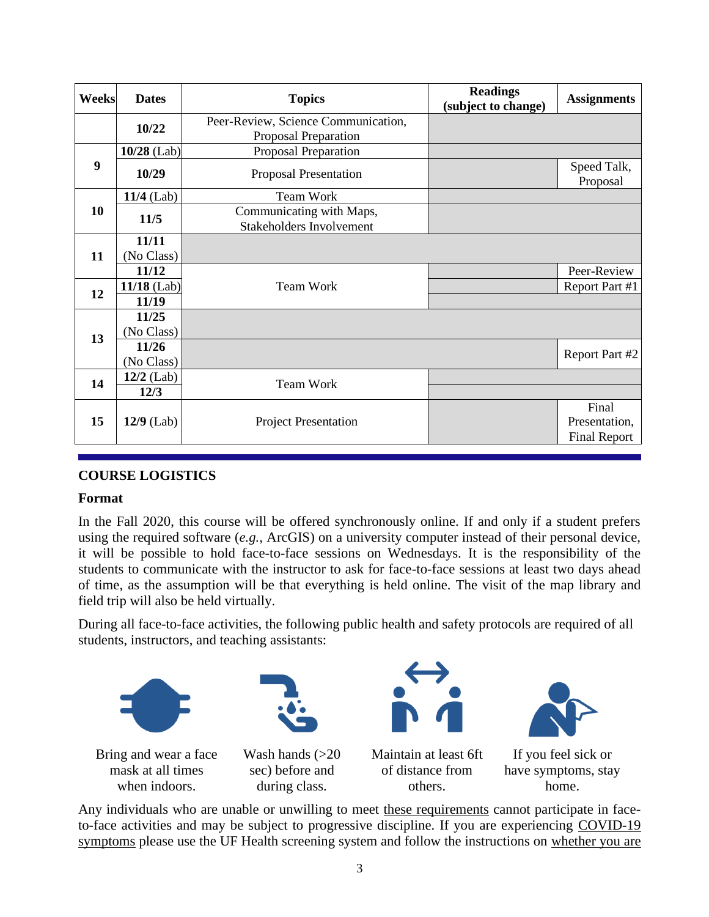| Weeks            | <b>Dates</b>        | <b>Readings</b><br><b>Topics</b><br>(subject to change)     |  | <b>Assignments</b>                            |
|------------------|---------------------|-------------------------------------------------------------|--|-----------------------------------------------|
|                  | 10/22               | Peer-Review, Science Communication,                         |  |                                               |
|                  |                     | Proposal Preparation                                        |  |                                               |
|                  | $10/28$ (Lab)       | Proposal Preparation                                        |  |                                               |
| $\boldsymbol{9}$ | 10/29               | Proposal Presentation                                       |  | Speed Talk,<br>Proposal                       |
|                  | $11/4$ (Lab)        | <b>Team Work</b>                                            |  |                                               |
| 10               | 11/5                | Communicating with Maps,<br><b>Stakeholders Involvement</b> |  |                                               |
| 11               | 11/11<br>(No Class) |                                                             |  |                                               |
|                  | 11/12               |                                                             |  | Peer-Review                                   |
| 12               | $11/18$ (Lab)       | <b>Team Work</b>                                            |  | Report Part #1                                |
|                  | 11/19               |                                                             |  |                                               |
| 13               | 11/25<br>(No Class) |                                                             |  |                                               |
|                  | 11/26<br>(No Class) |                                                             |  | Report Part #2                                |
| 14               | $12/2$ (Lab)        | <b>Team Work</b>                                            |  |                                               |
|                  | 12/3                |                                                             |  |                                               |
| 15               | $12/9$ (Lab)        | <b>Project Presentation</b>                                 |  | Final<br>Presentation,<br><b>Final Report</b> |

# **COURSE LOGISTICS**

### **Format**

In the Fall 2020, this course will be offered synchronously online. If and only if a student prefers using the required software (*e.g.*, ArcGIS) on a university computer instead of their personal device, it will be possible to hold face-to-face sessions on Wednesdays. It is the responsibility of the students to communicate with the instructor to ask for face-to-face sessions at least two days ahead of time, as the assumption will be that everything is held online. The visit of the map library and field trip will also be held virtually.

During all face-to-face activities, the following public health and safety protocols are required of all students, instructors, and teaching assistants:



Any individuals who are unable or unwilling to meet [these requirements](https://policy.ufl.edu/policy/student-behavioral-expectations-in-response-to-covid-19/) cannot participate in faceto-face activities and may be subject to progressive discipline. If you are experiencing [COVID-19](https://urldefense.proofpoint.com/v2/url?u=https-3A__www.cdc.gov_coronavirus_2019-2Dncov_symptoms-2Dtesting_symptoms.html&d=DwMFAg&c=sJ6xIWYx-zLMB3EPkvcnVg&r=335RIWkYUmnnAbJDogEeM7_QMmiZhXUGfcoBfCk8o1Fnwnz2d6HvrV5JQ6kd_Xzw&m=eaTxQebUDBAXPY_8iyzmHL1WLnxFnUY6asLLj0c2-TM&s=VYHNgGmLqrkoLndZ7K3VkvrB3-xqiqFqIRchkanpZxM&e=)  [symptoms](https://urldefense.proofpoint.com/v2/url?u=https-3A__www.cdc.gov_coronavirus_2019-2Dncov_symptoms-2Dtesting_symptoms.html&d=DwMFAg&c=sJ6xIWYx-zLMB3EPkvcnVg&r=335RIWkYUmnnAbJDogEeM7_QMmiZhXUGfcoBfCk8o1Fnwnz2d6HvrV5JQ6kd_Xzw&m=eaTxQebUDBAXPY_8iyzmHL1WLnxFnUY6asLLj0c2-TM&s=VYHNgGmLqrkoLndZ7K3VkvrB3-xqiqFqIRchkanpZxM&e=) please use the UF Health screening system and follow the instructions on [whether you are](https://coronavirus.ufhealth.org/screen-test-protect/covid-19-exposure-and-symptoms-who-do-i-call-if/)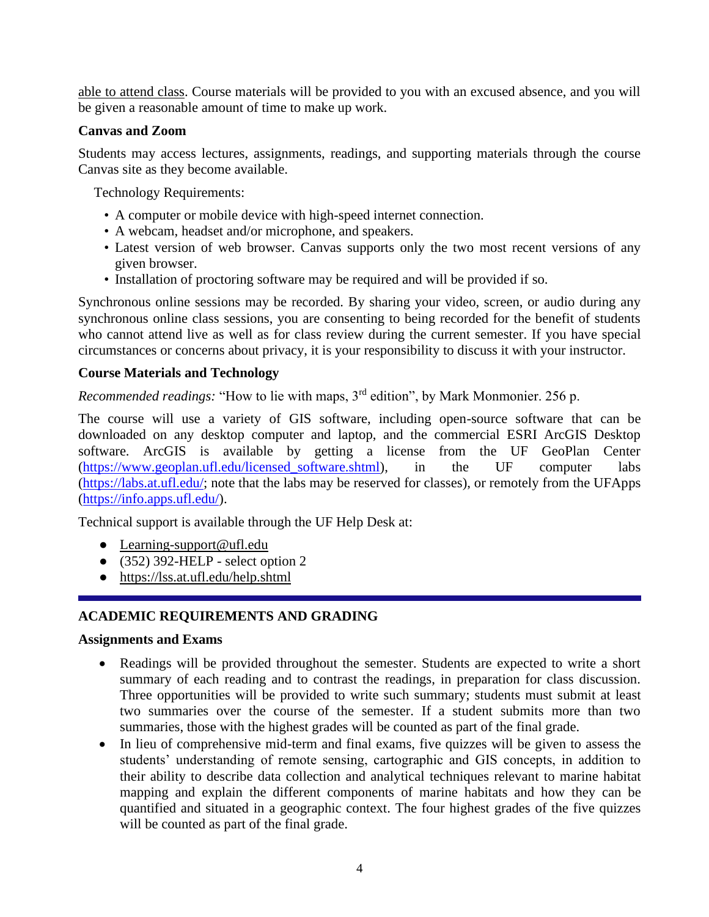[able to attend class.](https://coronavirus.ufhealth.org/screen-test-protect/covid-19-exposure-and-symptoms-who-do-i-call-if/) Course materials will be provided to you with an excused absence, and you will be given a reasonable amount of time to make up work.

# **Canvas and Zoom**

Students may access lectures, assignments, readings, and supporting materials through the course Canvas site as they become available.

Technology Requirements:

- A computer or mobile device with high-speed internet connection.
- A webcam, headset and/or microphone, and speakers.
- Latest version of web browser. Canvas supports only the two most recent versions of any given browser.
- Installation of proctoring software may be required and will be provided if so.

Synchronous online sessions may be recorded. By sharing your video, screen, or audio during any synchronous online class sessions, you are consenting to being recorded for the benefit of students who cannot attend live as well as for class review during the current semester. If you have special circumstances or concerns about privacy, it is your responsibility to discuss it with your instructor.

# **Course Materials and Technology**

*Recommended readings:* "How to lie with maps, 3rd edition", by Mark Monmonier. 256 p.

The course will use a variety of GIS software, including open-source software that can be downloaded on any desktop computer and laptop, and the commercial ESRI ArcGIS Desktop software. ArcGIS is available by getting a license from the UF GeoPlan Center [\(https://www.geoplan.ufl.edu/licensed\\_software.shtml\)](https://www.geoplan.ufl.edu/licensed_software.shtml), in the UF computer labs [\(https://labs.at.ufl.edu/;](https://labs.at.ufl.edu/) note that the labs may be reserved for classes), or remotely from the UFApps [\(https://info.apps.ufl.edu/\)](https://info.apps.ufl.edu/).

Technical support is available through the UF Help Desk at:

- [Learning-support@ufl.edu](file:///C:/Users/hackg/Desktop/Learning-support@ufl.edu)
- $\bullet$  (352) 392-HELP select option 2
- <https://lss.at.ufl.edu/help.shtml>

# **ACADEMIC REQUIREMENTS AND GRADING**

### **Assignments and Exams**

- Readings will be provided throughout the semester. Students are expected to write a short summary of each reading and to contrast the readings, in preparation for class discussion. Three opportunities will be provided to write such summary; students must submit at least two summaries over the course of the semester. If a student submits more than two summaries, those with the highest grades will be counted as part of the final grade.
- In lieu of comprehensive mid-term and final exams, five quizzes will be given to assess the students' understanding of remote sensing, cartographic and GIS concepts, in addition to their ability to describe data collection and analytical techniques relevant to marine habitat mapping and explain the different components of marine habitats and how they can be quantified and situated in a geographic context. The four highest grades of the five quizzes will be counted as part of the final grade.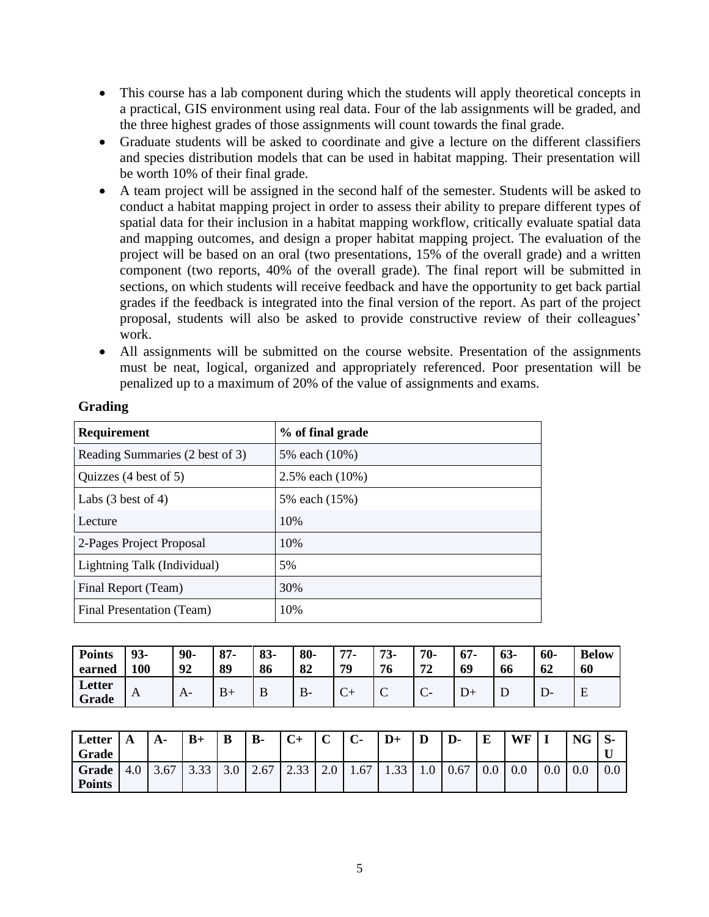- This course has a lab component during which the students will apply theoretical concepts in a practical, GIS environment using real data. Four of the lab assignments will be graded, and the three highest grades of those assignments will count towards the final grade.
- Graduate students will be asked to coordinate and give a lecture on the different classifiers and species distribution models that can be used in habitat mapping. Their presentation will be worth 10% of their final grade.
- A team project will be assigned in the second half of the semester. Students will be asked to conduct a habitat mapping project in order to assess their ability to prepare different types of spatial data for their inclusion in a habitat mapping workflow, critically evaluate spatial data and mapping outcomes, and design a proper habitat mapping project. The evaluation of the project will be based on an oral (two presentations, 15% of the overall grade) and a written component (two reports, 40% of the overall grade). The final report will be submitted in sections, on which students will receive feedback and have the opportunity to get back partial grades if the feedback is integrated into the final version of the report. As part of the project proposal, students will also be asked to provide constructive review of their colleagues' work.
- All assignments will be submitted on the course website. Presentation of the assignments must be neat, logical, organized and appropriately referenced. Poor presentation will be penalized up to a maximum of 20% of the value of assignments and exams.

# **Grading**

| Requirement                     | % of final grade   |
|---------------------------------|--------------------|
| Reading Summaries (2 best of 3) | 5% each (10%)      |
| Quizzes (4 best of 5)           | 2.5% each $(10\%)$ |
| Labs $(3 \text{ best of } 4)$   | 5% each (15%)      |
| Lecture                         | 10%                |
| 2-Pages Project Proposal        | 10%                |
| Lightning Talk (Individual)     | 5%                 |
| Final Report (Team)             | 30%                |
| Final Presentation (Team)       | 10%                |

| <b>Points</b><br>earned | 93-<br>100   | 90-<br>92    | O <sub>7</sub><br>o / -<br>89 | 83-<br>86 | 80-<br>82    | 77.<br>79 | $73-$<br>76                             | 70-<br>72            | 67-<br>69 | $63-$<br>66 | $60-$<br>62 | <b>Below</b><br>60 |
|-------------------------|--------------|--------------|-------------------------------|-----------|--------------|-----------|-----------------------------------------|----------------------|-----------|-------------|-------------|--------------------|
| Letter<br>Grade         | $\mathbf{A}$ | $\mathbf{A}$ | D<br>v                        | IJ        | $\mathbf{B}$ | ◡         | $\overline{\phantom{0}}$<br>$\check{ }$ | $\sqrt{ }$<br>$\sim$ |           | ┻           | D-          | ∸                  |

| Letter<br><b>Grade</b>        | A   | A-   | $B+$ | B   | $\mathbf{B}$ | $C+$ | $\sqrt{ }$<br>ັ | $\sim$<br>U- | $D+$ | D               | D-   | E   | WF  |     | <b>NG</b> | $\mathbf{S}$ |
|-------------------------------|-----|------|------|-----|--------------|------|-----------------|--------------|------|-----------------|------|-----|-----|-----|-----------|--------------|
| <b>Grade</b><br><b>Points</b> | 4.0 | 3.67 | 3.33 | 3.0 | 2.67         | 2.33 | 2.0             | 1.67         | 1.33 | $\Omega$<br>1.0 | 0.67 | 0.0 | 0.0 | V.V | 0.0       | 0.0          |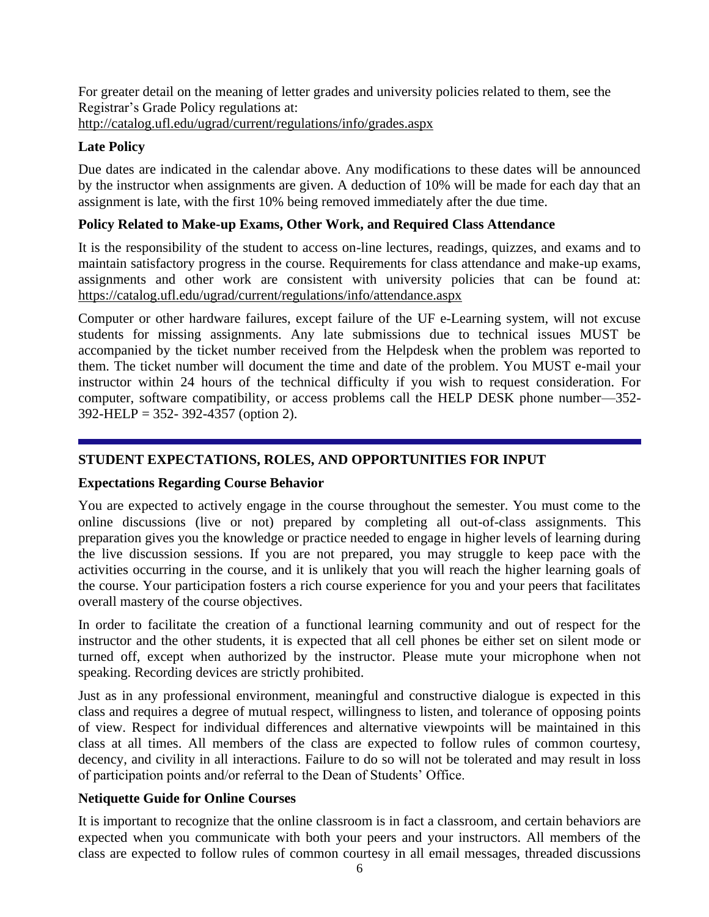For greater detail on the meaning of letter grades and university policies related to them, see the Registrar's Grade Policy regulations at: <http://catalog.ufl.edu/ugrad/current/regulations/info/grades.aspx>

# **Late Policy**

Due dates are indicated in the calendar above. Any modifications to these dates will be announced by the instructor when assignments are given. A deduction of 10% will be made for each day that an assignment is late, with the first 10% being removed immediately after the due time.

# **Policy Related to Make-up Exams, Other Work, and Required Class Attendance**

It is the responsibility of the student to access on-line lectures, readings, quizzes, and exams and to maintain satisfactory progress in the course. Requirements for class attendance and make-up exams, assignments and other work are consistent with university policies that can be found at: <https://catalog.ufl.edu/ugrad/current/regulations/info/attendance.aspx>

Computer or other hardware failures, except failure of the UF e-Learning system, will not excuse students for missing assignments. Any late submissions due to technical issues MUST be accompanied by the ticket number received from the Helpdesk when the problem was reported to them. The ticket number will document the time and date of the problem. You MUST e-mail your instructor within 24 hours of the technical difficulty if you wish to request consideration. For computer, software compatibility, or access problems call the HELP DESK phone number—352- 392-HELP = 352- 392-4357 (option 2).

# **STUDENT EXPECTATIONS, ROLES, AND OPPORTUNITIES FOR INPUT**

# **Expectations Regarding Course Behavior**

You are expected to actively engage in the course throughout the semester. You must come to the online discussions (live or not) prepared by completing all out-of-class assignments. This preparation gives you the knowledge or practice needed to engage in higher levels of learning during the live discussion sessions. If you are not prepared, you may struggle to keep pace with the activities occurring in the course, and it is unlikely that you will reach the higher learning goals of the course. Your participation fosters a rich course experience for you and your peers that facilitates overall mastery of the course objectives.

In order to facilitate the creation of a functional learning community and out of respect for the instructor and the other students, it is expected that all cell phones be either set on silent mode or turned off, except when authorized by the instructor. Please mute your microphone when not speaking. Recording devices are strictly prohibited.

Just as in any professional environment, meaningful and constructive dialogue is expected in this class and requires a degree of mutual respect, willingness to listen, and tolerance of opposing points of view. Respect for individual differences and alternative viewpoints will be maintained in this class at all times. All members of the class are expected to follow rules of common courtesy, decency, and civility in all interactions. Failure to do so will not be tolerated and may result in loss of participation points and/or referral to the Dean of Students' Office.

# **Netiquette Guide for Online Courses**

It is important to recognize that the online classroom is in fact a classroom, and certain behaviors are expected when you communicate with both your peers and your instructors. All members of the class are expected to follow rules of common courtesy in all email messages, threaded discussions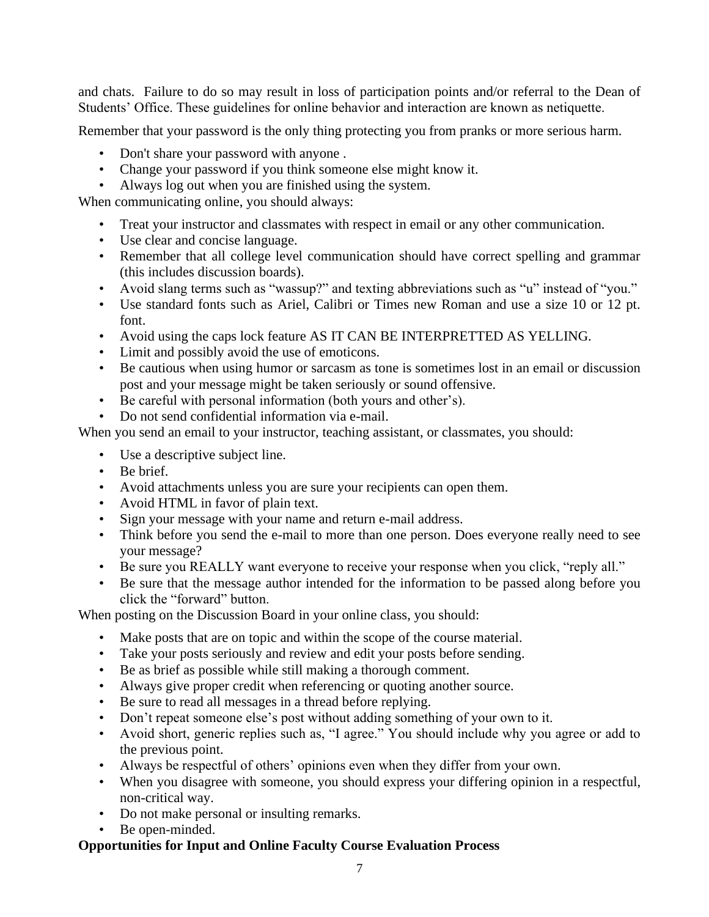and chats. Failure to do so may result in loss of participation points and/or referral to the Dean of Students' Office. These guidelines for online behavior and interaction are known as netiquette.

Remember that your password is the only thing protecting you from pranks or more serious harm.

- Don't share your password with anyone .
- Change your password if you think someone else might know it.
- Always log out when you are finished using the system.

When communicating online, you should always:

- Treat your instructor and classmates with respect in email or any other communication.
- Use clear and concise language.
- Remember that all college level communication should have correct spelling and grammar (this includes discussion boards).
- Avoid slang terms such as "wassup?" and texting abbreviations such as "u" instead of "you."
- Use standard fonts such as Ariel, Calibri or Times new Roman and use a size 10 or 12 pt. font.
- Avoid using the caps lock feature AS IT CAN BE INTERPRETTED AS YELLING.
- Limit and possibly avoid the use of emoticons.
- Be cautious when using humor or sarcasm as tone is sometimes lost in an email or discussion post and your message might be taken seriously or sound offensive.
- Be careful with personal information (both yours and other's).
- Do not send confidential information via e-mail.

When you send an email to your instructor, teaching assistant, or classmates, you should:

- Use a descriptive subject line.
- Be brief.
- Avoid attachments unless you are sure your recipients can open them.
- Avoid HTML in favor of plain text.
- Sign your message with your name and return e-mail address.
- Think before you send the e-mail to more than one person. Does everyone really need to see your message?
- Be sure you REALLY want everyone to receive your response when you click, "reply all."
- Be sure that the message author intended for the information to be passed along before you click the "forward" button.

When posting on the Discussion Board in your online class, you should:

- Make posts that are on topic and within the scope of the course material.
- Take your posts seriously and review and edit your posts before sending.
- Be as brief as possible while still making a thorough comment.
- Always give proper credit when referencing or quoting another source.
- Be sure to read all messages in a thread before replying.
- Don't repeat someone else's post without adding something of your own to it.
- Avoid short, generic replies such as, "I agree." You should include why you agree or add to the previous point.
- Always be respectful of others' opinions even when they differ from your own.
- When you disagree with someone, you should express your differing opinion in a respectful, non-critical way.
- Do not make personal or insulting remarks.
- Be open-minded.

### **Opportunities for Input and Online Faculty Course Evaluation Process**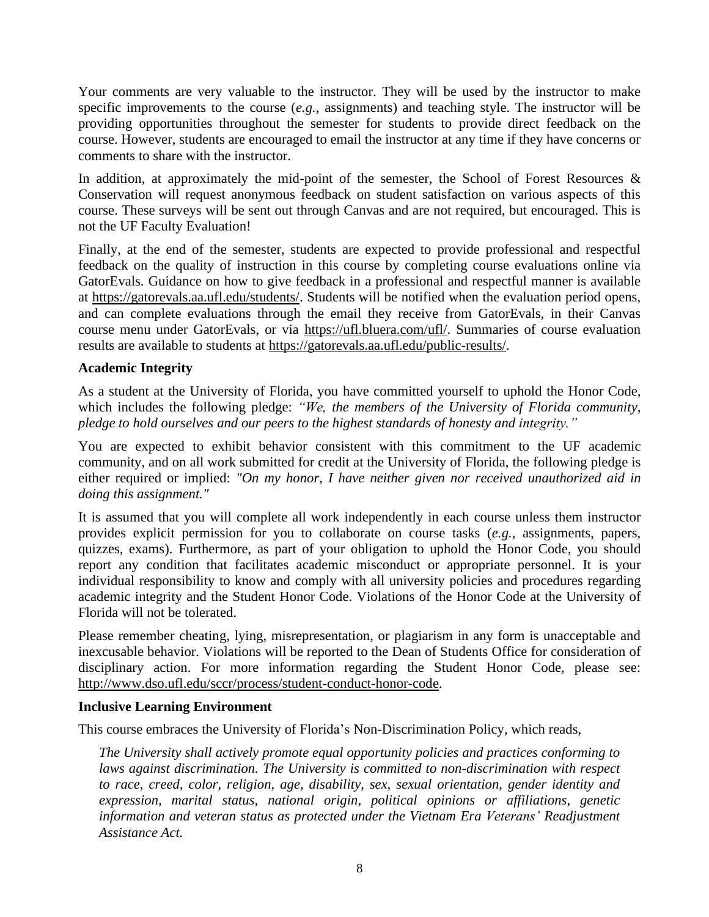Your comments are very valuable to the instructor. They will be used by the instructor to make specific improvements to the course (*e.g.*, assignments) and teaching style. The instructor will be providing opportunities throughout the semester for students to provide direct feedback on the course. However, students are encouraged to email the instructor at any time if they have concerns or comments to share with the instructor.

In addition, at approximately the mid-point of the semester, the School of Forest Resources  $\&$ Conservation will request anonymous feedback on student satisfaction on various aspects of this course. These surveys will be sent out through Canvas and are not required, but encouraged. This is not the UF Faculty Evaluation!

Finally, at the end of the semester, students are expected to provide professional and respectful feedback on the quality of instruction in this course by completing course evaluations online via GatorEvals. Guidance on how to give feedback in a professional and respectful manner is available at [https://gatorevals.aa.ufl.edu/students/.](https://gatorevals.aa.ufl.edu/students/) Students will be notified when the evaluation period opens, and can complete evaluations through the email they receive from GatorEvals, in their Canvas course menu under GatorEvals, or via [https://ufl.bluera.com/ufl/.](https://ufl.bluera.com/ufl/) Summaries of course evaluation results are available to students at [https://gatorevals.aa.ufl.edu/public-results/.](https://gatorevals.aa.ufl.edu/public-results/)

# **Academic Integrity**

As a student at the University of Florida, you have committed yourself to uphold the Honor Code, which includes the following pledge: *"We, the members of the University of Florida community, pledge to hold ourselves and our peers to the highest standards of honesty and integrity."*

You are expected to exhibit behavior consistent with this commitment to the UF academic community, and on all work submitted for credit at the University of Florida, the following pledge is either required or implied: *"On my honor, I have neither given nor received unauthorized aid in doing this assignment."*

It is assumed that you will complete all work independently in each course unless them instructor provides explicit permission for you to collaborate on course tasks (*e.g.*, assignments, papers, quizzes, exams). Furthermore, as part of your obligation to uphold the Honor Code, you should report any condition that facilitates academic misconduct or appropriate personnel. It is your individual responsibility to know and comply with all university policies and procedures regarding academic integrity and the Student Honor Code. Violations of the Honor Code at the University of Florida will not be tolerated.

Please remember cheating, lying, misrepresentation, or plagiarism in any form is unacceptable and inexcusable behavior. Violations will be reported to the Dean of Students Office for consideration of disciplinary action. For more information regarding the Student Honor Code, please see: [http://www.dso.ufl.edu/sccr/process/student-conduct-honor-code.](http://www.dso.ufl.edu/sccr/process/student-conduct-honor-code)

### **Inclusive Learning Environment**

This course embraces the University of Florida's Non-Discrimination Policy, which reads,

*The University shall actively promote equal opportunity policies and practices conforming to laws against discrimination. The University is committed to non-discrimination with respect to race, creed, color, religion, age, disability, sex, sexual orientation, gender identity and expression, marital status, national origin, political opinions or affiliations, genetic information and veteran status as protected under the Vietnam Era Veterans' Readjustment Assistance Act.*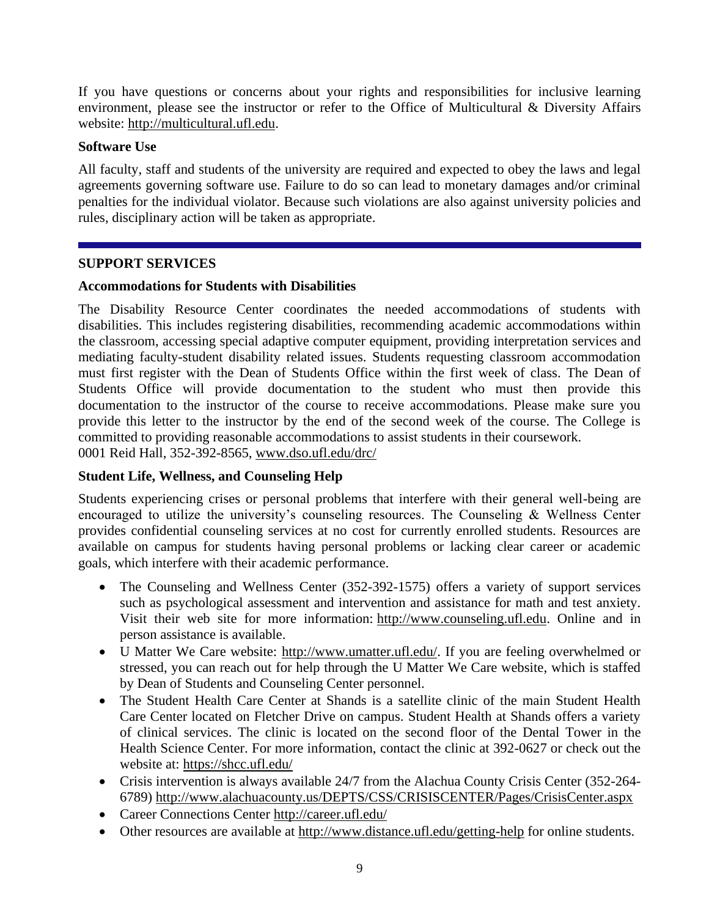If you have questions or concerns about your rights and responsibilities for inclusive learning environment, please see the instructor or refer to the Office of Multicultural & Diversity Affairs website: [http://multicultural.ufl.edu.](http://multicultural.ufl.edu/)

# **Software Use**

All faculty, staff and students of the university are required and expected to obey the laws and legal agreements governing software use. Failure to do so can lead to monetary damages and/or criminal penalties for the individual violator. Because such violations are also against university policies and rules, disciplinary action will be taken as appropriate.

# **SUPPORT SERVICES**

# **Accommodations for Students with Disabilities**

The Disability Resource Center coordinates the needed accommodations of students with disabilities. This includes registering disabilities, recommending academic accommodations within the classroom, accessing special adaptive computer equipment, providing interpretation services and mediating faculty-student disability related issues. Students requesting classroom accommodation must first register with the Dean of Students Office within the first week of class. The Dean of Students Office will provide documentation to the student who must then provide this documentation to the instructor of the course to receive accommodations. Please make sure you provide this letter to the instructor by the end of the second week of the course. The College is committed to providing reasonable accommodations to assist students in their coursework. 0001 Reid Hall, 352-392-8565, [www.dso.ufl.edu/drc/](http://www.dso.ufl.edu/drc/) 

# **Student Life, Wellness, and Counseling Help**

Students experiencing crises or personal problems that interfere with their general well-being are encouraged to utilize the university's counseling resources. The Counseling & Wellness Center provides confidential counseling services at no cost for currently enrolled students. Resources are available on campus for students having personal problems or lacking clear career or academic goals, which interfere with their academic performance.

- The Counseling and Wellness Center (352-392-1575) offers a variety of support services such as psychological assessment and intervention and assistance for math and test anxiety. Visit their web site for more information: [http://www.counseling.ufl.edu.](http://www.counseling.ufl.edu/) Online and in person assistance is available.
- U Matter We Care website: [http://www.umatter.ufl.edu/.](http://www.umatter.ufl.edu/) If you are feeling overwhelmed or stressed, you can reach out for help through the U Matter We Care website, which is staffed by Dean of Students and Counseling Center personnel.
- The Student Health Care Center at Shands is a satellite clinic of the main Student Health Care Center located on Fletcher Drive on campus. Student Health at Shands offers a variety of clinical services. The clinic is located on the second floor of the Dental Tower in the Health Science Center. For more information, contact the clinic at 392-0627 or check out the website at: <https://shcc.ufl.edu/>
- Crisis intervention is always available 24/7 from the Alachua County Crisis Center (352-264- 6789)<http://www.alachuacounty.us/DEPTS/CSS/CRISISCENTER/Pages/CrisisCenter.aspx>
- Career Connections Center<http://career.ufl.edu/>
- Other resources are available at<http://www.distance.ufl.edu/getting-help> for online students.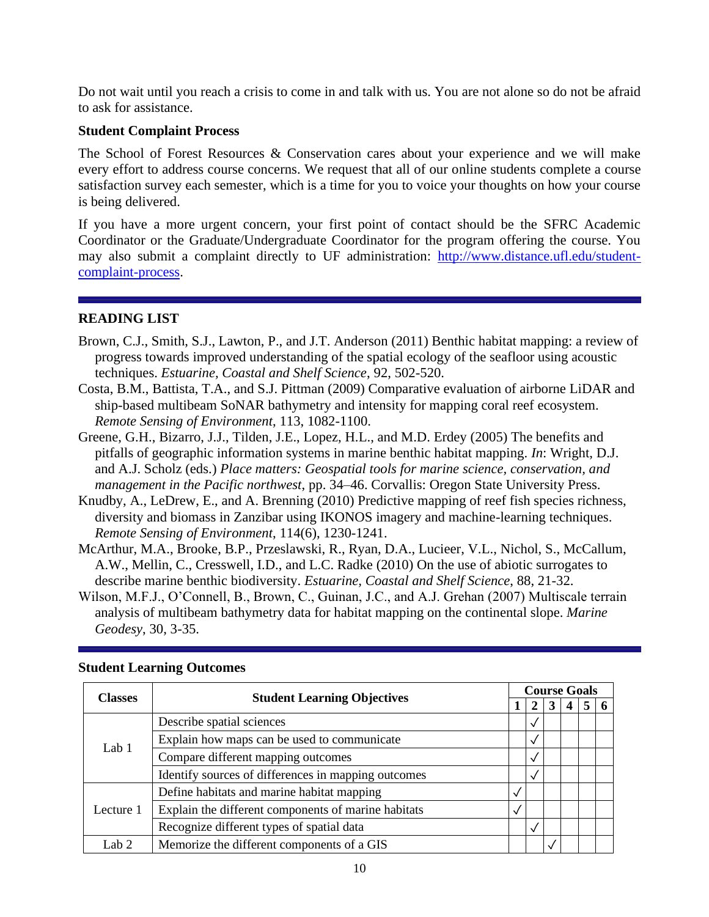Do not wait until you reach a crisis to come in and talk with us. You are not alone so do not be afraid to ask for assistance.

# **Student Complaint Process**

The School of Forest Resources & Conservation cares about your experience and we will make every effort to address course concerns. We request that all of our online students complete a course satisfaction survey each semester, which is a time for you to voice your thoughts on how your course is being delivered.

If you have a more urgent concern, your first point of contact should be the SFRC Academic Coordinator or the Graduate/Undergraduate Coordinator for the program offering the course. You may also submit a complaint directly to UF administration: [http://www.distance.ufl.edu/student](http://www.distance.ufl.edu/student-complaint-process)[complaint-process.](http://www.distance.ufl.edu/student-complaint-process)

# **READING LIST**

- Brown, C.J., Smith, S.J., Lawton, P., and J.T. Anderson (2011) Benthic habitat mapping: a review of progress towards improved understanding of the spatial ecology of the seafloor using acoustic techniques. *Estuarine, Coastal and Shelf Science*, 92, 502-520.
- Costa, B.M., Battista, T.A., and S.J. Pittman (2009) Comparative evaluation of airborne LiDAR and ship-based multibeam SoNAR bathymetry and intensity for mapping coral reef ecosystem. *Remote Sensing of Environment*, 113, 1082-1100.
- Greene, G.H., Bizarro, J.J., Tilden, J.E., Lopez, H.L., and M.D. Erdey (2005) The benefits and pitfalls of geographic information systems in marine benthic habitat mapping. *In*: Wright, D.J. and A.J. Scholz (eds.) *Place matters: Geospatial tools for marine science, conservation, and management in the Pacific northwest*, pp. 34–46. Corvallis: Oregon State University Press.
- Knudby, A., LeDrew, E., and A. Brenning (2010) Predictive mapping of reef fish species richness, diversity and biomass in Zanzibar using IKONOS imagery and machine-learning techniques. *Remote Sensing of Environment*, 114(6), 1230-1241.
- McArthur, M.A., Brooke, B.P., Przeslawski, R., Ryan, D.A., Lucieer, V.L., Nichol, S., McCallum, A.W., Mellin, C., Cresswell, I.D., and L.C. Radke (2010) On the use of abiotic surrogates to describe marine benthic biodiversity. *Estuarine, Coastal and Shelf Science*, 88, 21-32.
- Wilson, M.F.J., O'Connell, B., Brown, C., Guinan, J.C., and A.J. Grehan (2007) Multiscale terrain analysis of multibeam bathymetry data for habitat mapping on the continental slope. *Marine Geodesy*, 30, 3-35.

| <b>Classes</b> |                                                     |  |              |  | <b>Course Goals</b> |  |  |  |  |  |  |
|----------------|-----------------------------------------------------|--|--------------|--|---------------------|--|--|--|--|--|--|
|                | <b>Student Learning Objectives</b>                  |  |              |  |                     |  |  |  |  |  |  |
| Lab $1$        | Describe spatial sciences                           |  | √            |  |                     |  |  |  |  |  |  |
|                | Explain how maps can be used to communicate         |  | √            |  |                     |  |  |  |  |  |  |
|                | Compare different mapping outcomes                  |  | √            |  |                     |  |  |  |  |  |  |
|                | Identify sources of differences in mapping outcomes |  | N            |  |                     |  |  |  |  |  |  |
|                | Define habitats and marine habitat mapping          |  |              |  |                     |  |  |  |  |  |  |
| Lecture 1      | Explain the different components of marine habitats |  |              |  |                     |  |  |  |  |  |  |
|                | Recognize different types of spatial data           |  | $\checkmark$ |  |                     |  |  |  |  |  |  |
| Lab 2          | Memorize the different components of a GIS          |  |              |  |                     |  |  |  |  |  |  |

### **Student Learning Outcomes**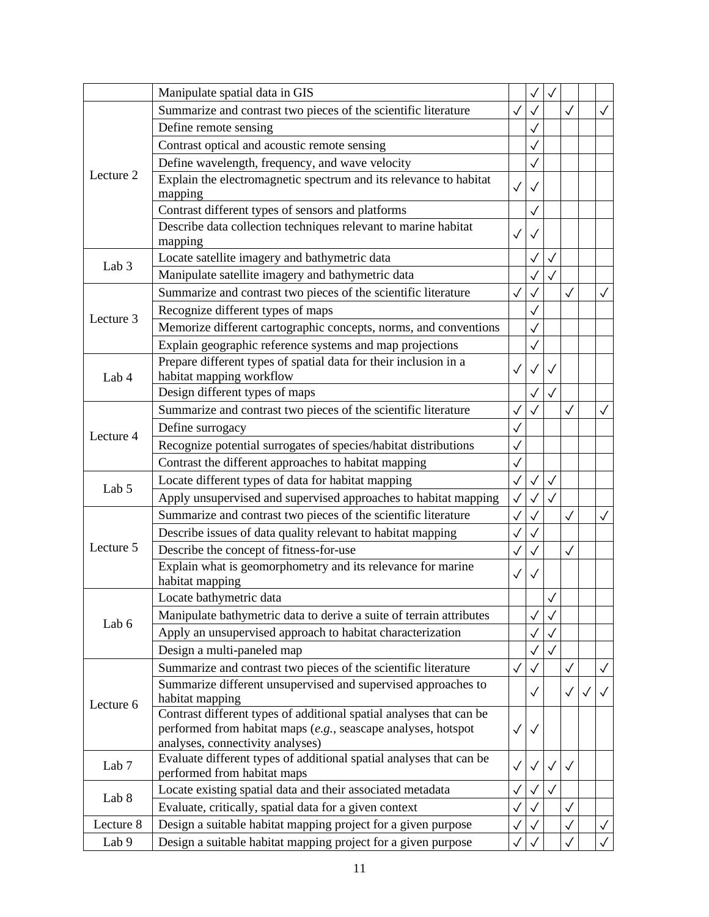|                                                                                                                                                                                                                                                                                                                                                                                                                                                                                                                                                                                                                                                                                                                                                                                                                                                                                                                                                                                                                                                                                                                                                                                                                                                                                                                                                                                                                                                                                   | Manipulate spatial data in GIS                                    |              |              | $\checkmark$ |              |              |              |
|-----------------------------------------------------------------------------------------------------------------------------------------------------------------------------------------------------------------------------------------------------------------------------------------------------------------------------------------------------------------------------------------------------------------------------------------------------------------------------------------------------------------------------------------------------------------------------------------------------------------------------------------------------------------------------------------------------------------------------------------------------------------------------------------------------------------------------------------------------------------------------------------------------------------------------------------------------------------------------------------------------------------------------------------------------------------------------------------------------------------------------------------------------------------------------------------------------------------------------------------------------------------------------------------------------------------------------------------------------------------------------------------------------------------------------------------------------------------------------------|-------------------------------------------------------------------|--------------|--------------|--------------|--------------|--------------|--------------|
|                                                                                                                                                                                                                                                                                                                                                                                                                                                                                                                                                                                                                                                                                                                                                                                                                                                                                                                                                                                                                                                                                                                                                                                                                                                                                                                                                                                                                                                                                   | Summarize and contrast two pieces of the scientific literature    | $\checkmark$ |              |              | $\checkmark$ |              | ✓            |
| Lecture 2                                                                                                                                                                                                                                                                                                                                                                                                                                                                                                                                                                                                                                                                                                                                                                                                                                                                                                                                                                                                                                                                                                                                                                                                                                                                                                                                                                                                                                                                         | Define remote sensing                                             |              |              |              |              |              |              |
|                                                                                                                                                                                                                                                                                                                                                                                                                                                                                                                                                                                                                                                                                                                                                                                                                                                                                                                                                                                                                                                                                                                                                                                                                                                                                                                                                                                                                                                                                   | Contrast optical and acoustic remote sensing                      |              |              |              |              |              |              |
|                                                                                                                                                                                                                                                                                                                                                                                                                                                                                                                                                                                                                                                                                                                                                                                                                                                                                                                                                                                                                                                                                                                                                                                                                                                                                                                                                                                                                                                                                   | Define wavelength, frequency, and wave velocity                   |              |              |              |              |              |              |
|                                                                                                                                                                                                                                                                                                                                                                                                                                                                                                                                                                                                                                                                                                                                                                                                                                                                                                                                                                                                                                                                                                                                                                                                                                                                                                                                                                                                                                                                                   | Explain the electromagnetic spectrum and its relevance to habitat | $\checkmark$ |              |              |              |              |              |
|                                                                                                                                                                                                                                                                                                                                                                                                                                                                                                                                                                                                                                                                                                                                                                                                                                                                                                                                                                                                                                                                                                                                                                                                                                                                                                                                                                                                                                                                                   |                                                                   |              | $\checkmark$ |              |              |              |              |
|                                                                                                                                                                                                                                                                                                                                                                                                                                                                                                                                                                                                                                                                                                                                                                                                                                                                                                                                                                                                                                                                                                                                                                                                                                                                                                                                                                                                                                                                                   | Describe data collection techniques relevant to marine habitat    | $\checkmark$ | $\checkmark$ |              |              |              |              |
|                                                                                                                                                                                                                                                                                                                                                                                                                                                                                                                                                                                                                                                                                                                                                                                                                                                                                                                                                                                                                                                                                                                                                                                                                                                                                                                                                                                                                                                                                   |                                                                   |              | ✓            | ✓            |              |              |              |
|                                                                                                                                                                                                                                                                                                                                                                                                                                                                                                                                                                                                                                                                                                                                                                                                                                                                                                                                                                                                                                                                                                                                                                                                                                                                                                                                                                                                                                                                                   |                                                                   |              |              |              |              |              |              |
|                                                                                                                                                                                                                                                                                                                                                                                                                                                                                                                                                                                                                                                                                                                                                                                                                                                                                                                                                                                                                                                                                                                                                                                                                                                                                                                                                                                                                                                                                   |                                                                   | $\checkmark$ |              |              | √            |              |              |
|                                                                                                                                                                                                                                                                                                                                                                                                                                                                                                                                                                                                                                                                                                                                                                                                                                                                                                                                                                                                                                                                                                                                                                                                                                                                                                                                                                                                                                                                                   |                                                                   |              |              |              |              |              |              |
|                                                                                                                                                                                                                                                                                                                                                                                                                                                                                                                                                                                                                                                                                                                                                                                                                                                                                                                                                                                                                                                                                                                                                                                                                                                                                                                                                                                                                                                                                   |                                                                   |              |              |              |              |              |              |
|                                                                                                                                                                                                                                                                                                                                                                                                                                                                                                                                                                                                                                                                                                                                                                                                                                                                                                                                                                                                                                                                                                                                                                                                                                                                                                                                                                                                                                                                                   |                                                                   |              | $\checkmark$ |              |              |              |              |
|                                                                                                                                                                                                                                                                                                                                                                                                                                                                                                                                                                                                                                                                                                                                                                                                                                                                                                                                                                                                                                                                                                                                                                                                                                                                                                                                                                                                                                                                                   |                                                                   |              |              |              |              |              |              |
| Lab 4                                                                                                                                                                                                                                                                                                                                                                                                                                                                                                                                                                                                                                                                                                                                                                                                                                                                                                                                                                                                                                                                                                                                                                                                                                                                                                                                                                                                                                                                             | habitat mapping workflow                                          | $\checkmark$ |              | ✓            |              |              |              |
|                                                                                                                                                                                                                                                                                                                                                                                                                                                                                                                                                                                                                                                                                                                                                                                                                                                                                                                                                                                                                                                                                                                                                                                                                                                                                                                                                                                                                                                                                   | Design different types of maps                                    |              |              | $\checkmark$ |              |              |              |
|                                                                                                                                                                                                                                                                                                                                                                                                                                                                                                                                                                                                                                                                                                                                                                                                                                                                                                                                                                                                                                                                                                                                                                                                                                                                                                                                                                                                                                                                                   | Summarize and contrast two pieces of the scientific literature    | $\checkmark$ |              |              |              |              |              |
|                                                                                                                                                                                                                                                                                                                                                                                                                                                                                                                                                                                                                                                                                                                                                                                                                                                                                                                                                                                                                                                                                                                                                                                                                                                                                                                                                                                                                                                                                   | Define surrogacy                                                  |              |              |              |              |              |              |
| Lecture 4                                                                                                                                                                                                                                                                                                                                                                                                                                                                                                                                                                                                                                                                                                                                                                                                                                                                                                                                                                                                                                                                                                                                                                                                                                                                                                                                                                                                                                                                         | Recognize potential surrogates of species/habitat distributions   | ✓            |              |              |              |              |              |
|                                                                                                                                                                                                                                                                                                                                                                                                                                                                                                                                                                                                                                                                                                                                                                                                                                                                                                                                                                                                                                                                                                                                                                                                                                                                                                                                                                                                                                                                                   | Contrast the different approaches to habitat mapping              |              |              |              |              |              |              |
| Lab <sub>5</sub>                                                                                                                                                                                                                                                                                                                                                                                                                                                                                                                                                                                                                                                                                                                                                                                                                                                                                                                                                                                                                                                                                                                                                                                                                                                                                                                                                                                                                                                                  | Locate different types of data for habitat mapping                | $\checkmark$ |              | $\checkmark$ |              |              |              |
|                                                                                                                                                                                                                                                                                                                                                                                                                                                                                                                                                                                                                                                                                                                                                                                                                                                                                                                                                                                                                                                                                                                                                                                                                                                                                                                                                                                                                                                                                   | Apply unsupervised and supervised approaches to habitat mapping   | $\checkmark$ |              | $\checkmark$ |              |              |              |
|                                                                                                                                                                                                                                                                                                                                                                                                                                                                                                                                                                                                                                                                                                                                                                                                                                                                                                                                                                                                                                                                                                                                                                                                                                                                                                                                                                                                                                                                                   | Summarize and contrast two pieces of the scientific literature    | $\checkmark$ |              |              | $\checkmark$ |              |              |
|                                                                                                                                                                                                                                                                                                                                                                                                                                                                                                                                                                                                                                                                                                                                                                                                                                                                                                                                                                                                                                                                                                                                                                                                                                                                                                                                                                                                                                                                                   | Describe issues of data quality relevant to habitat mapping       | $\checkmark$ |              |              |              |              |              |
| Lecture 5                                                                                                                                                                                                                                                                                                                                                                                                                                                                                                                                                                                                                                                                                                                                                                                                                                                                                                                                                                                                                                                                                                                                                                                                                                                                                                                                                                                                                                                                         | Describe the concept of fitness-for-use                           | $\checkmark$ |              |              | ✓            |              |              |
| Lab 6                                                                                                                                                                                                                                                                                                                                                                                                                                                                                                                                                                                                                                                                                                                                                                                                                                                                                                                                                                                                                                                                                                                                                                                                                                                                                                                                                                                                                                                                             | Explain what is geomorphometry and its relevance for marine       | $\checkmark$ | $\checkmark$ |              |              |              |              |
|                                                                                                                                                                                                                                                                                                                                                                                                                                                                                                                                                                                                                                                                                                                                                                                                                                                                                                                                                                                                                                                                                                                                                                                                                                                                                                                                                                                                                                                                                   | Locate bathymetric data                                           |              |              |              |              |              |              |
| mapping<br>Contrast different types of sensors and platforms<br>mapping<br>Locate satellite imagery and bathymetric data<br>Lab <sub>3</sub><br>Manipulate satellite imagery and bathymetric data<br>Summarize and contrast two pieces of the scientific literature<br>Recognize different types of maps<br>Lecture 3<br>Memorize different cartographic concepts, norms, and conventions<br>Explain geographic reference systems and map projections<br>Prepare different types of spatial data for their inclusion in a<br>habitat mapping<br>Manipulate bathymetric data to derive a suite of terrain attributes<br>Apply an unsupervised approach to habitat characterization<br>Design a multi-paneled map<br>Summarize and contrast two pieces of the scientific literature<br>Summarize different unsupervised and supervised approaches to<br>habitat mapping<br>Lecture 6<br>Contrast different types of additional spatial analyses that can be<br>performed from habitat maps (e.g., seascape analyses, hotspot<br>analyses, connectivity analyses)<br>Evaluate different types of additional spatial analyses that can be<br>Lab <sub>7</sub><br>performed from habitat maps<br>Locate existing spatial data and their associated metadata<br>Lab 8<br>Evaluate, critically, spatial data for a given context<br>Design a suitable habitat mapping project for a given purpose<br>Lecture 8<br>Design a suitable habitat mapping project for a given purpose<br>Lab 9 |                                                                   |              | $\checkmark$ | $\checkmark$ |              |              |              |
|                                                                                                                                                                                                                                                                                                                                                                                                                                                                                                                                                                                                                                                                                                                                                                                                                                                                                                                                                                                                                                                                                                                                                                                                                                                                                                                                                                                                                                                                                   |                                                                   | $\checkmark$ |              |              |              |              |              |
|                                                                                                                                                                                                                                                                                                                                                                                                                                                                                                                                                                                                                                                                                                                                                                                                                                                                                                                                                                                                                                                                                                                                                                                                                                                                                                                                                                                                                                                                                   |                                                                   |              |              |              |              |              |              |
|                                                                                                                                                                                                                                                                                                                                                                                                                                                                                                                                                                                                                                                                                                                                                                                                                                                                                                                                                                                                                                                                                                                                                                                                                                                                                                                                                                                                                                                                                   |                                                                   | $\checkmark$ |              |              | $\checkmark$ |              | ✓            |
|                                                                                                                                                                                                                                                                                                                                                                                                                                                                                                                                                                                                                                                                                                                                                                                                                                                                                                                                                                                                                                                                                                                                                                                                                                                                                                                                                                                                                                                                                   |                                                                   |              | ✓            |              | $\checkmark$ | $\checkmark$ | ✓            |
|                                                                                                                                                                                                                                                                                                                                                                                                                                                                                                                                                                                                                                                                                                                                                                                                                                                                                                                                                                                                                                                                                                                                                                                                                                                                                                                                                                                                                                                                                   |                                                                   |              |              |              |              |              |              |
|                                                                                                                                                                                                                                                                                                                                                                                                                                                                                                                                                                                                                                                                                                                                                                                                                                                                                                                                                                                                                                                                                                                                                                                                                                                                                                                                                                                                                                                                                   |                                                                   | $\checkmark$ | ✓            |              |              |              |              |
|                                                                                                                                                                                                                                                                                                                                                                                                                                                                                                                                                                                                                                                                                                                                                                                                                                                                                                                                                                                                                                                                                                                                                                                                                                                                                                                                                                                                                                                                                   |                                                                   |              |              |              |              |              |              |
|                                                                                                                                                                                                                                                                                                                                                                                                                                                                                                                                                                                                                                                                                                                                                                                                                                                                                                                                                                                                                                                                                                                                                                                                                                                                                                                                                                                                                                                                                   |                                                                   |              |              |              |              |              |              |
|                                                                                                                                                                                                                                                                                                                                                                                                                                                                                                                                                                                                                                                                                                                                                                                                                                                                                                                                                                                                                                                                                                                                                                                                                                                                                                                                                                                                                                                                                   |                                                                   | $\checkmark$ | $\checkmark$ | $\checkmark$ | $\checkmark$ |              |              |
|                                                                                                                                                                                                                                                                                                                                                                                                                                                                                                                                                                                                                                                                                                                                                                                                                                                                                                                                                                                                                                                                                                                                                                                                                                                                                                                                                                                                                                                                                   |                                                                   | $\checkmark$ |              | $\checkmark$ |              |              |              |
|                                                                                                                                                                                                                                                                                                                                                                                                                                                                                                                                                                                                                                                                                                                                                                                                                                                                                                                                                                                                                                                                                                                                                                                                                                                                                                                                                                                                                                                                                   |                                                                   | $\checkmark$ |              |              | ✓            |              |              |
|                                                                                                                                                                                                                                                                                                                                                                                                                                                                                                                                                                                                                                                                                                                                                                                                                                                                                                                                                                                                                                                                                                                                                                                                                                                                                                                                                                                                                                                                                   |                                                                   | $\checkmark$ |              |              | ✓            |              | $\checkmark$ |
|                                                                                                                                                                                                                                                                                                                                                                                                                                                                                                                                                                                                                                                                                                                                                                                                                                                                                                                                                                                                                                                                                                                                                                                                                                                                                                                                                                                                                                                                                   |                                                                   | $\checkmark$ | ✓            |              | √            |              |              |